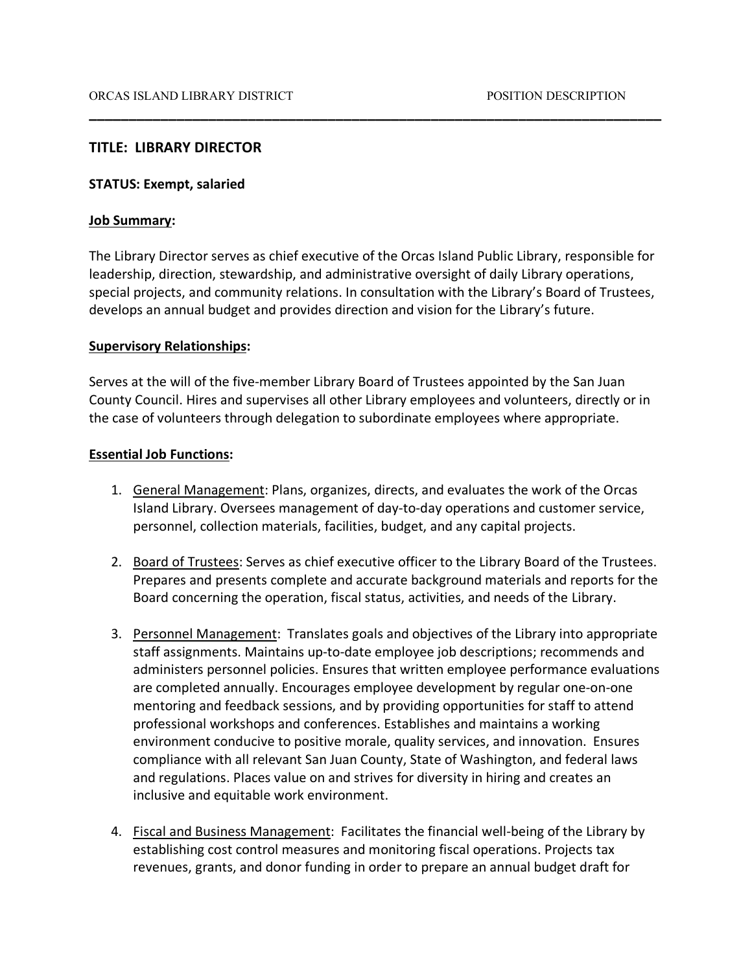## **TITLE: LIBRARY DIRECTOR**

#### **STATUS: Exempt, salaried**

### **Job Summary:**

The Library Director serves as chief executive of the Orcas Island Public Library, responsible for leadership, direction, stewardship, and administrative oversight of daily Library operations, special projects, and community relations. In consultation with the Library's Board of Trustees, develops an annual budget and provides direction and vision for the Library's future.

**\_\_\_\_\_\_\_\_\_\_\_\_\_\_\_\_\_\_\_\_\_\_\_\_\_\_\_\_\_\_\_\_\_\_\_\_\_\_\_\_\_\_\_\_\_\_\_\_\_\_\_\_\_\_\_\_\_\_\_\_\_\_\_\_\_\_\_\_\_\_\_\_**

### **Supervisory Relationships:**

Serves at the will of the five-member Library Board of Trustees appointed by the San Juan County Council. Hires and supervises all other Library employees and volunteers, directly or in the case of volunteers through delegation to subordinate employees where appropriate.

### **Essential Job Functions:**

- 1. General Management: Plans, organizes, directs, and evaluates the work of the Orcas Island Library. Oversees management of day-to-day operations and customer service, personnel, collection materials, facilities, budget, and any capital projects.
- 2. Board of Trustees: Serves as chief executive officer to the Library Board of the Trustees. Prepares and presents complete and accurate background materials and reports for the Board concerning the operation, fiscal status, activities, and needs of the Library.
- 3. Personnel Management: Translates goals and objectives of the Library into appropriate staff assignments. Maintains up-to-date employee job descriptions; recommends and administers personnel policies. Ensures that written employee performance evaluations are completed annually. Encourages employee development by regular one-on-one mentoring and feedback sessions, and by providing opportunities for staff to attend professional workshops and conferences. Establishes and maintains a working environment conducive to positive morale, quality services, and innovation. Ensures compliance with all relevant San Juan County, State of Washington, and federal laws and regulations. Places value on and strives for diversity in hiring and creates an inclusive and equitable work environment.
- 4. Fiscal and Business Management: Facilitates the financial well-being of the Library by establishing cost control measures and monitoring fiscal operations. Projects tax revenues, grants, and donor funding in order to prepare an annual budget draft for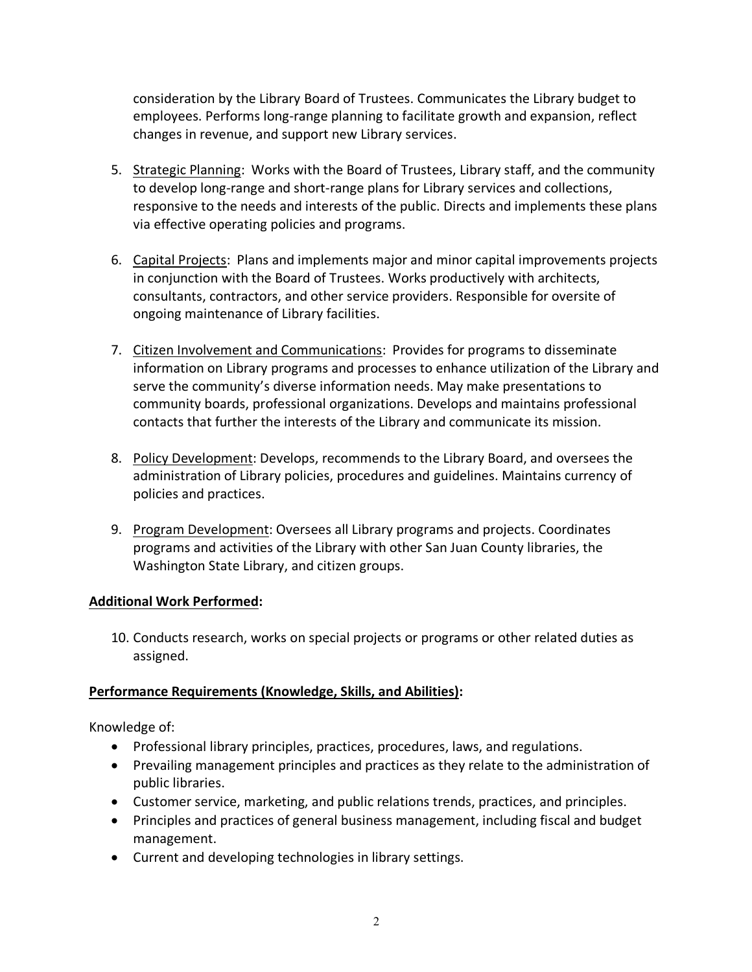consideration by the Library Board of Trustees. Communicates the Library budget to employees. Performs long-range planning to facilitate growth and expansion, reflect changes in revenue, and support new Library services.

- 5. Strategic Planning: Works with the Board of Trustees, Library staff, and the community to develop long-range and short-range plans for Library services and collections, responsive to the needs and interests of the public. Directs and implements these plans via effective operating policies and programs.
- 6. Capital Projects: Plans and implements major and minor capital improvements projects in conjunction with the Board of Trustees. Works productively with architects, consultants, contractors, and other service providers. Responsible for oversite of ongoing maintenance of Library facilities.
- 7. Citizen Involvement and Communications: Provides for programs to disseminate information on Library programs and processes to enhance utilization of the Library and serve the community's diverse information needs. May make presentations to community boards, professional organizations. Develops and maintains professional contacts that further the interests of the Library and communicate its mission.
- 8. Policy Development: Develops, recommends to the Library Board, and oversees the administration of Library policies, procedures and guidelines. Maintains currency of policies and practices.
- 9. Program Development: Oversees all Library programs and projects. Coordinates programs and activities of the Library with other San Juan County libraries, the Washington State Library, and citizen groups.

# **Additional Work Performed:**

10. Conducts research, works on special projects or programs or other related duties as assigned.

# **Performance Requirements (Knowledge, Skills, and Abilities):**

Knowledge of:

- Professional library principles, practices, procedures, laws, and regulations.
- Prevailing management principles and practices as they relate to the administration of public libraries.
- Customer service, marketing, and public relations trends, practices, and principles.
- Principles and practices of general business management, including fiscal and budget management.
- Current and developing technologies in library settings.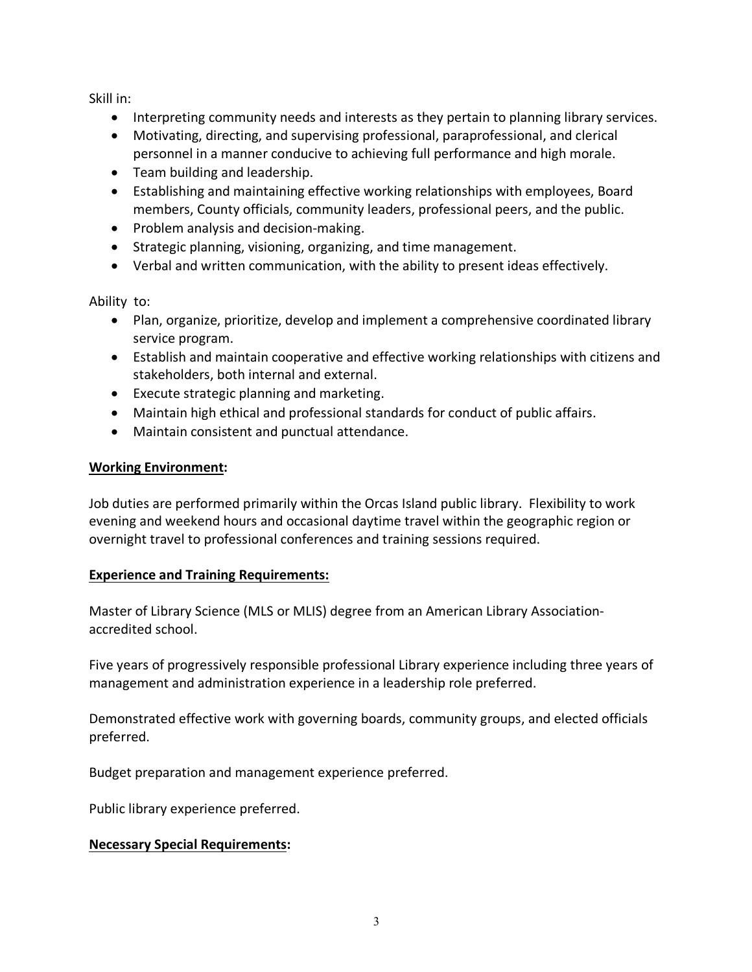Skill in:

- Interpreting community needs and interests as they pertain to planning library services.
- Motivating, directing, and supervising professional, paraprofessional, and clerical personnel in a manner conducive to achieving full performance and high morale.
- Team building and leadership.
- Establishing and maintaining effective working relationships with employees, Board members, County officials, community leaders, professional peers, and the public.
- Problem analysis and decision-making.
- Strategic planning, visioning, organizing, and time management.
- Verbal and written communication, with the ability to present ideas effectively.

Ability to:

- Plan, organize, prioritize, develop and implement a comprehensive coordinated library service program.
- Establish and maintain cooperative and effective working relationships with citizens and stakeholders, both internal and external.
- Execute strategic planning and marketing.
- Maintain high ethical and professional standards for conduct of public affairs.
- Maintain consistent and punctual attendance.

## **Working Environment:**

Job duties are performed primarily within the Orcas Island public library. Flexibility to work evening and weekend hours and occasional daytime travel within the geographic region or overnight travel to professional conferences and training sessions required.

## **Experience and Training Requirements:**

Master of Library Science (MLS or MLIS) degree from an American Library Associationaccredited school.

Five years of progressively responsible professional Library experience including three years of management and administration experience in a leadership role preferred.

Demonstrated effective work with governing boards, community groups, and elected officials preferred.

Budget preparation and management experience preferred.

Public library experience preferred.

## **Necessary Special Requirements:**